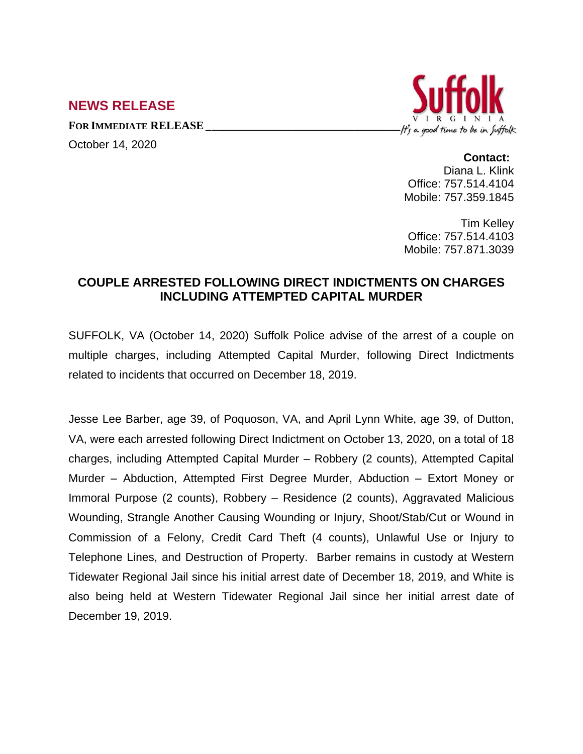## **NEWS RELEASE**

October 14, 2020



## **Contact:**

Diana L. Klink Office: 757.514.4104 Mobile: 757.359.1845

Tim Kelley Office: 757.514.4103 Mobile: 757.871.3039

## **COUPLE ARRESTED FOLLOWING DIRECT INDICTMENTS ON CHARGES INCLUDING ATTEMPTED CAPITAL MURDER**

SUFFOLK, VA (October 14, 2020) Suffolk Police advise of the arrest of a couple on multiple charges, including Attempted Capital Murder, following Direct Indictments related to incidents that occurred on December 18, 2019.

Jesse Lee Barber, age 39, of Poquoson, VA, and April Lynn White, age 39, of Dutton, VA, were each arrested following Direct Indictment on October 13, 2020, on a total of 18 charges, including Attempted Capital Murder – Robbery (2 counts), Attempted Capital Murder – Abduction, Attempted First Degree Murder, Abduction – Extort Money or Immoral Purpose (2 counts), Robbery – Residence (2 counts), Aggravated Malicious Wounding, Strangle Another Causing Wounding or Injury, Shoot/Stab/Cut or Wound in Commission of a Felony, Credit Card Theft (4 counts), Unlawful Use or Injury to Telephone Lines, and Destruction of Property. Barber remains in custody at Western Tidewater Regional Jail since his initial arrest date of December 18, 2019, and White is also being held at Western Tidewater Regional Jail since her initial arrest date of December 19, 2019.